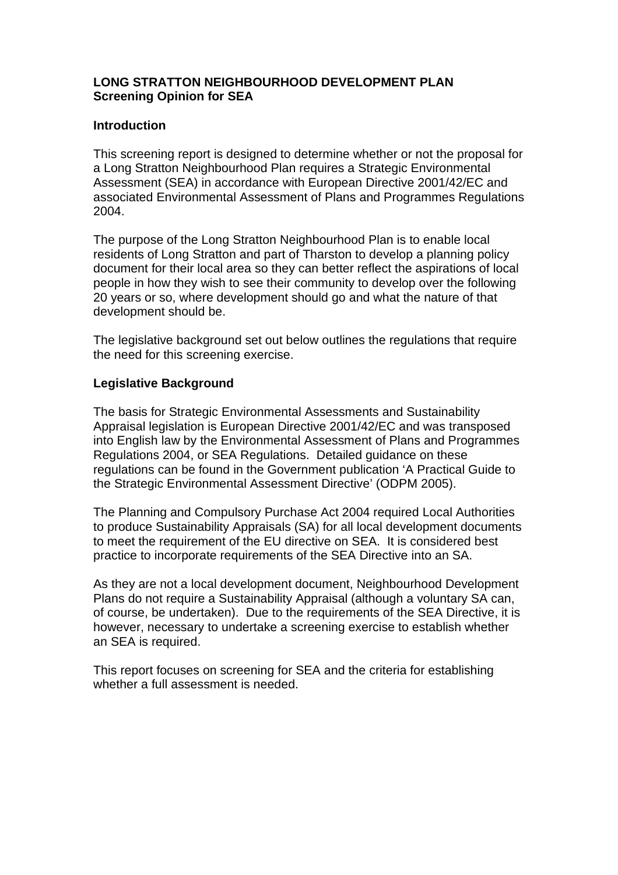#### **LONG STRATTON NEIGHBOURHOOD DEVELOPMENT PLAN Screening Opinion for SEA**

#### **Introduction**

This screening report is designed to determine whether or not the proposal for a Long Stratton Neighbourhood Plan requires a Strategic Environmental Assessment (SEA) in accordance with European Directive 2001/42/EC and associated Environmental Assessment of Plans and Programmes Regulations 2004.

The purpose of the Long Stratton Neighbourhood Plan is to enable local residents of Long Stratton and part of Tharston to develop a planning policy document for their local area so they can better reflect the aspirations of local people in how they wish to see their community to develop over the following 20 years or so, where development should go and what the nature of that development should be.

The legislative background set out below outlines the regulations that require the need for this screening exercise.

# **Legislative Background**

The basis for Strategic Environmental Assessments and Sustainability Appraisal legislation is European Directive 2001/42/EC and was transposed into English law by the Environmental Assessment of Plans and Programmes Regulations 2004, or SEA Regulations. Detailed guidance on these regulations can be found in the Government publication 'A Practical Guide to the Strategic Environmental Assessment Directive' (ODPM 2005).

The Planning and Compulsory Purchase Act 2004 required Local Authorities to produce Sustainability Appraisals (SA) for all local development documents to meet the requirement of the EU directive on SEA. It is considered best practice to incorporate requirements of the SEA Directive into an SA.

As they are not a local development document, Neighbourhood Development Plans do not require a Sustainability Appraisal (although a voluntary SA can, of course, be undertaken). Due to the requirements of the SEA Directive, it is however, necessary to undertake a screening exercise to establish whether an SEA is required.

This report focuses on screening for SEA and the criteria for establishing whether a full assessment is needed.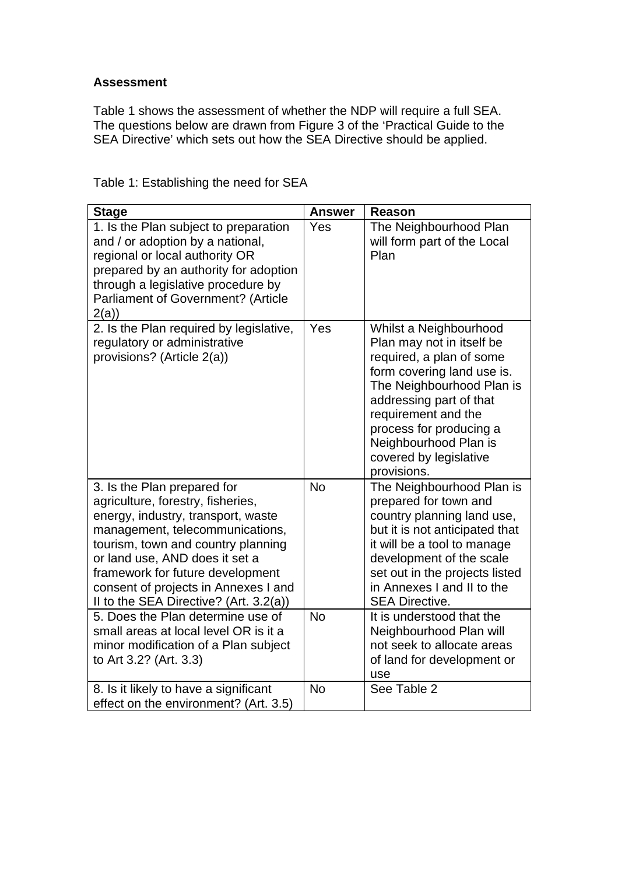# **Assessment**

Table 1 shows the assessment of whether the NDP will require a full SEA. The questions below are drawn from Figure 3 of the 'Practical Guide to the SEA Directive' which sets out how the SEA Directive should be applied.

| <b>Stage</b>                                                                                                                                                                                                                                                                                                                            | <b>Answer</b> | <b>Reason</b>                                                                                                                                                                                                                                                                             |
|-----------------------------------------------------------------------------------------------------------------------------------------------------------------------------------------------------------------------------------------------------------------------------------------------------------------------------------------|---------------|-------------------------------------------------------------------------------------------------------------------------------------------------------------------------------------------------------------------------------------------------------------------------------------------|
| 1. Is the Plan subject to preparation<br>and / or adoption by a national,<br>regional or local authority OR<br>prepared by an authority for adoption<br>through a legislative procedure by<br><b>Parliament of Government? (Article</b><br>2(a)                                                                                         | Yes           | The Neighbourhood Plan<br>will form part of the Local<br>Plan                                                                                                                                                                                                                             |
| 2. Is the Plan required by legislative,<br>regulatory or administrative<br>provisions? (Article 2(a))                                                                                                                                                                                                                                   | Yes           | Whilst a Neighbourhood<br>Plan may not in itself be<br>required, a plan of some<br>form covering land use is.<br>The Neighbourhood Plan is<br>addressing part of that<br>requirement and the<br>process for producing a<br>Neighbourhood Plan is<br>covered by legislative<br>provisions. |
| 3. Is the Plan prepared for<br>agriculture, forestry, fisheries,<br>energy, industry, transport, waste<br>management, telecommunications,<br>tourism, town and country planning<br>or land use, AND does it set a<br>framework for future development<br>consent of projects in Annexes I and<br>II to the SEA Directive? (Art. 3.2(a)) | <b>No</b>     | The Neighbourhood Plan is<br>prepared for town and<br>country planning land use,<br>but it is not anticipated that<br>it will be a tool to manage<br>development of the scale<br>set out in the projects listed<br>in Annexes I and II to the<br><b>SEA Directive.</b>                    |
| 5. Does the Plan determine use of<br>small areas at local level OR is it a<br>minor modification of a Plan subject<br>to Art 3.2? (Art. 3.3)                                                                                                                                                                                            | <b>No</b>     | It is understood that the<br>Neighbourhood Plan will<br>not seek to allocate areas<br>of land for development or<br>use                                                                                                                                                                   |
| 8. Is it likely to have a significant<br>effect on the environment? (Art. 3.5)                                                                                                                                                                                                                                                          | <b>No</b>     | See Table 2                                                                                                                                                                                                                                                                               |

Table 1: Establishing the need for SEA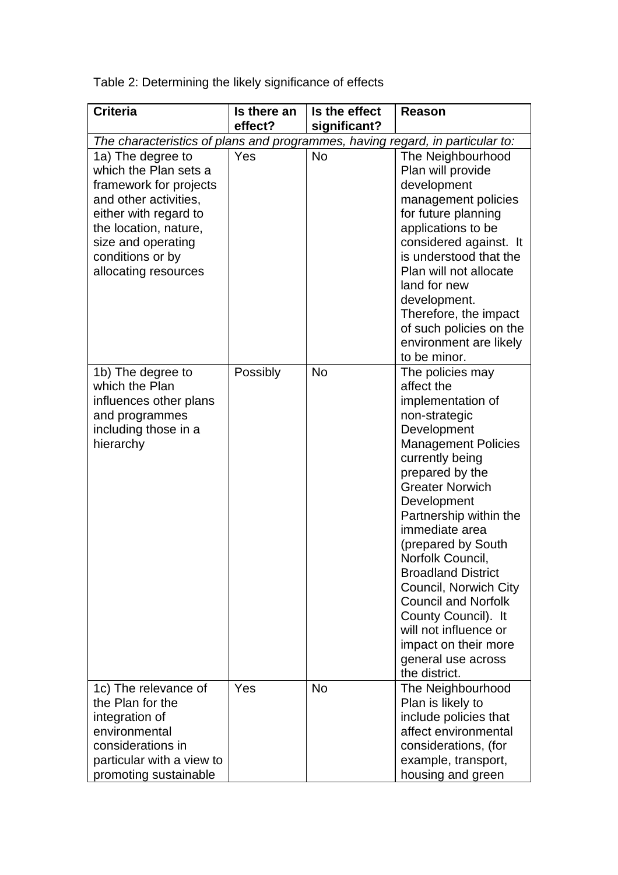Table 2: Determining the likely significance of effects

| <b>Criteria</b>                                                                                                                                                                                                   | Is there an<br>effect? | Is the effect<br>significant? | <b>Reason</b>                                                                                                                                                                                                                                                                                                                                                                                                                                                                             |
|-------------------------------------------------------------------------------------------------------------------------------------------------------------------------------------------------------------------|------------------------|-------------------------------|-------------------------------------------------------------------------------------------------------------------------------------------------------------------------------------------------------------------------------------------------------------------------------------------------------------------------------------------------------------------------------------------------------------------------------------------------------------------------------------------|
| The characteristics of plans and programmes, having regard, in particular to:                                                                                                                                     |                        |                               |                                                                                                                                                                                                                                                                                                                                                                                                                                                                                           |
| 1a) The degree to<br>which the Plan sets a<br>framework for projects<br>and other activities,<br>either with regard to<br>the location, nature,<br>size and operating<br>conditions or by<br>allocating resources | Yes                    | <b>No</b>                     | The Neighbourhood<br>Plan will provide<br>development<br>management policies<br>for future planning<br>applications to be<br>considered against. It<br>is understood that the<br>Plan will not allocate<br>land for new<br>development.<br>Therefore, the impact<br>of such policies on the<br>environment are likely<br>to be minor.                                                                                                                                                     |
| 1b) The degree to<br>which the Plan<br>influences other plans<br>and programmes<br>including those in a<br>hierarchy                                                                                              | Possibly               | <b>No</b>                     | The policies may<br>affect the<br>implementation of<br>non-strategic<br>Development<br><b>Management Policies</b><br>currently being<br>prepared by the<br><b>Greater Norwich</b><br>Development<br>Partnership within the<br>immediate area<br>(prepared by South<br>Norfolk Council,<br><b>Broadland District</b><br>Council, Norwich City<br><b>Council and Norfolk</b><br>County Council). It<br>will not influence or<br>impact on their more<br>general use across<br>the district. |
| 1c) The relevance of<br>the Plan for the<br>integration of<br>environmental<br>considerations in<br>particular with a view to<br>promoting sustainable                                                            | Yes                    | <b>No</b>                     | The Neighbourhood<br>Plan is likely to<br>include policies that<br>affect environmental<br>considerations, (for<br>example, transport,<br>housing and green                                                                                                                                                                                                                                                                                                                               |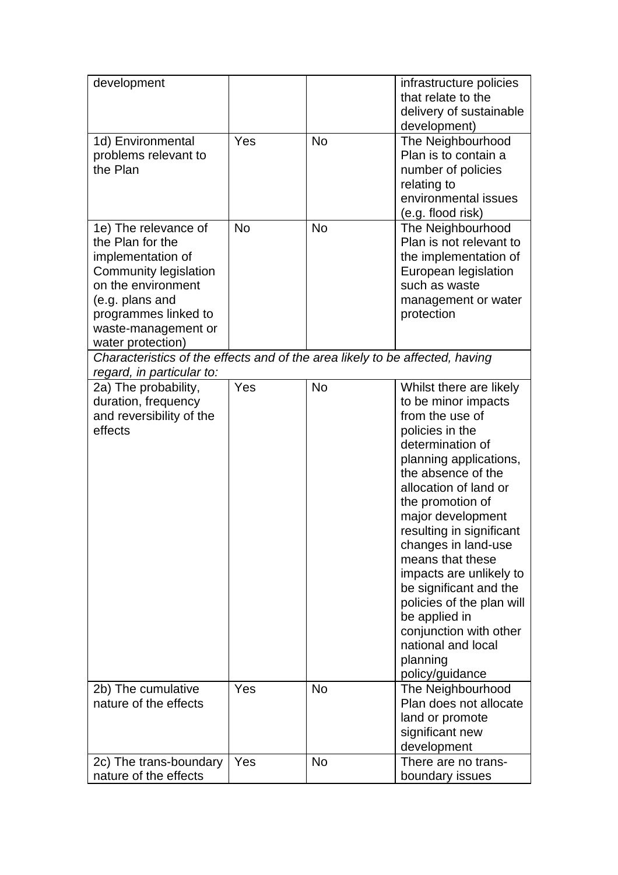| development                                                                                                                                                                                         |           |           | infrastructure policies<br>that relate to the<br>delivery of sustainable<br>development)                                                                                                                                                                                                                                                                                                                                                                                            |
|-----------------------------------------------------------------------------------------------------------------------------------------------------------------------------------------------------|-----------|-----------|-------------------------------------------------------------------------------------------------------------------------------------------------------------------------------------------------------------------------------------------------------------------------------------------------------------------------------------------------------------------------------------------------------------------------------------------------------------------------------------|
| 1d) Environmental<br>problems relevant to<br>the Plan                                                                                                                                               | Yes       | <b>No</b> | The Neighbourhood<br>Plan is to contain a<br>number of policies<br>relating to<br>environmental issues<br>(e.g. flood risk)                                                                                                                                                                                                                                                                                                                                                         |
| 1e) The relevance of<br>the Plan for the<br>implementation of<br>Community legislation<br>on the environment<br>(e.g. plans and<br>programmes linked to<br>waste-management or<br>water protection) | <b>No</b> | <b>No</b> | The Neighbourhood<br>Plan is not relevant to<br>the implementation of<br>European legislation<br>such as waste<br>management or water<br>protection                                                                                                                                                                                                                                                                                                                                 |
| Characteristics of the effects and of the area likely to be affected, having<br>regard, in particular to:                                                                                           |           |           |                                                                                                                                                                                                                                                                                                                                                                                                                                                                                     |
| 2a) The probability,<br>duration, frequency<br>and reversibility of the<br>effects                                                                                                                  | Yes       | <b>No</b> | Whilst there are likely<br>to be minor impacts<br>from the use of<br>policies in the<br>determination of<br>planning applications,<br>the absence of the<br>allocation of land or<br>the promotion of<br>major development<br>resulting in significant<br>changes in land-use<br>means that these<br>impacts are unlikely to<br>be significant and the<br>policies of the plan will<br>be applied in<br>conjunction with other<br>national and local<br>planning<br>policy/guidance |
| 2b) The cumulative<br>nature of the effects                                                                                                                                                         | Yes       | <b>No</b> | The Neighbourhood<br>Plan does not allocate<br>land or promote<br>significant new<br>development                                                                                                                                                                                                                                                                                                                                                                                    |
| 2c) The trans-boundary<br>nature of the effects                                                                                                                                                     | Yes       | <b>No</b> | There are no trans-<br>boundary issues                                                                                                                                                                                                                                                                                                                                                                                                                                              |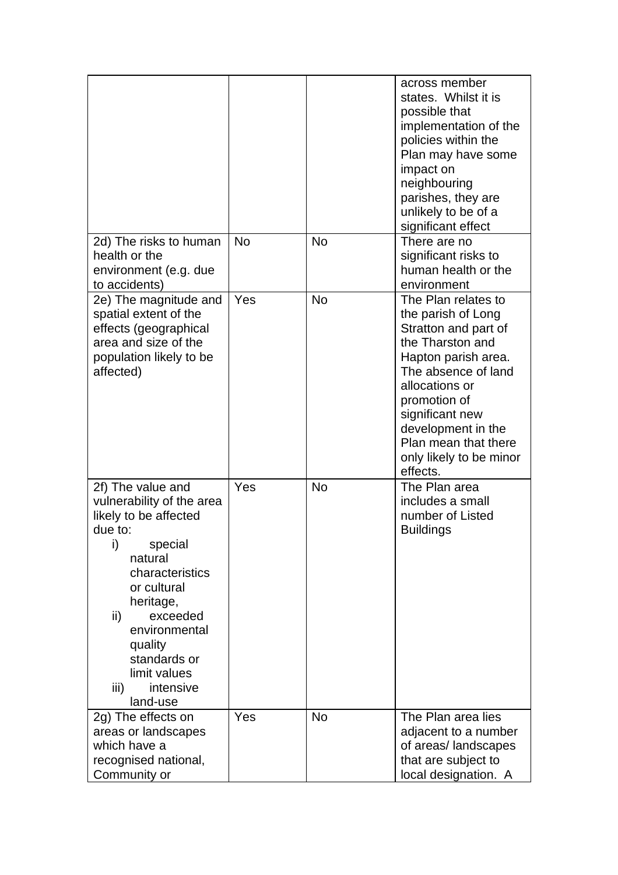|                                                                                                                                                                                                                                                                               |           |           | across member<br>states. Whilst it is<br>possible that<br>implementation of the<br>policies within the<br>Plan may have some<br>impact on<br>neighbouring<br>parishes, they are<br>unlikely to be of a<br>significant effect                                                  |
|-------------------------------------------------------------------------------------------------------------------------------------------------------------------------------------------------------------------------------------------------------------------------------|-----------|-----------|-------------------------------------------------------------------------------------------------------------------------------------------------------------------------------------------------------------------------------------------------------------------------------|
| 2d) The risks to human<br>health or the<br>environment (e.g. due<br>to accidents)                                                                                                                                                                                             | <b>No</b> | <b>No</b> | There are no<br>significant risks to<br>human health or the<br>environment                                                                                                                                                                                                    |
| 2e) The magnitude and<br>spatial extent of the<br>effects (geographical<br>area and size of the<br>population likely to be<br>affected)                                                                                                                                       | Yes       | <b>No</b> | The Plan relates to<br>the parish of Long<br>Stratton and part of<br>the Tharston and<br>Hapton parish area.<br>The absence of land<br>allocations or<br>promotion of<br>significant new<br>development in the<br>Plan mean that there<br>only likely to be minor<br>effects. |
| 2f) The value and<br>vulnerability of the area<br>likely to be affected<br>due to:<br>special<br>I)<br>natural<br>characteristics<br>or cultural<br>heritage,<br>exceeded<br>ii)<br>environmental<br>quality<br>standards or<br>limit values<br>iii)<br>intensive<br>land-use | Yes       | <b>No</b> | The Plan area<br>includes a small<br>number of Listed<br><b>Buildings</b>                                                                                                                                                                                                     |
| 2g) The effects on<br>areas or landscapes<br>which have a<br>recognised national,<br>Community or                                                                                                                                                                             | Yes       | <b>No</b> | The Plan area lies<br>adjacent to a number<br>of areas/landscapes<br>that are subject to<br>local designation. A                                                                                                                                                              |